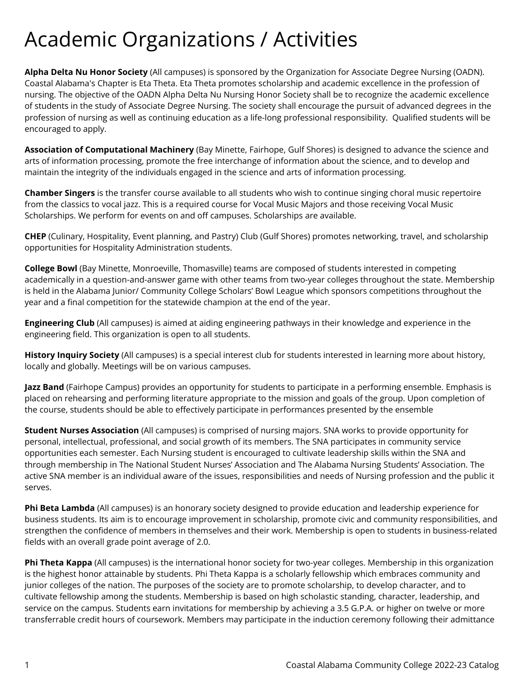## Academic Organizations / Activities

**Alpha Delta Nu Honor Society** (All campuses) is sponsored by the Organization for Associate Degree Nursing (OADN). Coastal Alabama's Chapter is Eta Theta. Eta Theta promotes scholarship and academic excellence in the profession of nursing. The objective of the OADN Alpha Delta Nu Nursing Honor Society shall be to recognize the academic excellence of students in the study of Associate Degree Nursing. The society shall encourage the pursuit of advanced degrees in the profession of nursing as well as continuing education as a life-long professional responsibility. Qualified students will be encouraged to apply.

**Association of Computational Machinery** (Bay Minette, Fairhope, Gulf Shores) is designed to advance the science and arts of information processing, promote the free interchange of information about the science, and to develop and maintain the integrity of the individuals engaged in the science and arts of information processing.

**Chamber Singers** is the transfer course available to all students who wish to continue singing choral music repertoire from the classics to vocal jazz. This is a required course for Vocal Music Majors and those receiving Vocal Music Scholarships. We perform for events on and off campuses. Scholarships are available.

**CHEP** (Culinary, Hospitality, Event planning, and Pastry) Club (Gulf Shores) promotes networking, travel, and scholarship opportunities for Hospitality Administration students.

**College Bowl** (Bay Minette, Monroeville, Thomasville) teams are composed of students interested in competing academically in a question-and-answer game with other teams from two-year colleges throughout the state. Membership is held in the Alabama Junior/ Community College Scholars' Bowl League which sponsors competitions throughout the year and a final competition for the statewide champion at the end of the year.

**Engineering Club** (All campuses) is aimed at aiding engineering pathways in their knowledge and experience in the engineering field. This organization is open to all students.

**History Inquiry Society** (All campuses) is a special interest club for students interested in learning more about history, locally and globally. Meetings will be on various campuses.

**Jazz Band** (Fairhope Campus) provides an opportunity for students to participate in a performing ensemble. Emphasis is placed on rehearsing and performing literature appropriate to the mission and goals of the group. Upon completion of the course, students should be able to effectively participate in performances presented by the ensemble

**Student Nurses Association** (All campuses) is comprised of nursing majors. SNA works to provide opportunity for personal, intellectual, professional, and social growth of its members. The SNA participates in community service opportunities each semester. Each Nursing student is encouraged to cultivate leadership skills within the SNA and through membership in The National Student Nurses' Association and The Alabama Nursing Students' Association. The active SNA member is an individual aware of the issues, responsibilities and needs of Nursing profession and the public it serves.

**Phi Beta Lambda** (All campuses) is an honorary society designed to provide education and leadership experience for business students. Its aim is to encourage improvement in scholarship, promote civic and community responsibilities, and strengthen the confidence of members in themselves and their work. Membership is open to students in business-related fields with an overall grade point average of 2.0.

**Phi Theta Kappa** (All campuses) is the international honor society for two-year colleges. Membership in this organization is the highest honor attainable by students. Phi Theta Kappa is a scholarly fellowship which embraces community and junior colleges of the nation. The purposes of the society are to promote scholarship, to develop character, and to cultivate fellowship among the students. Membership is based on high scholastic standing, character, leadership, and service on the campus. Students earn invitations for membership by achieving a 3.5 G.P.A. or higher on twelve or more transferrable credit hours of coursework. Members may participate in the induction ceremony following their admittance